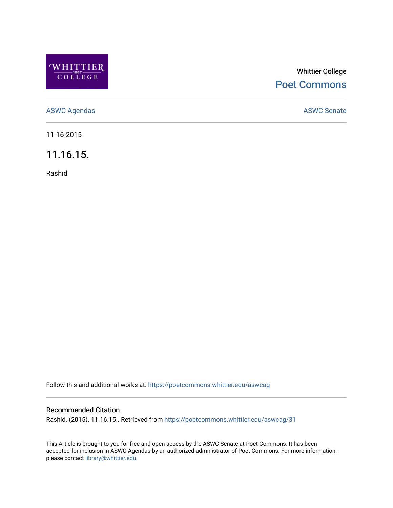

## Whittier College [Poet Commons](https://poetcommons.whittier.edu/)

[ASWC Agendas](https://poetcommons.whittier.edu/aswcag) **ASWC Senate** 

11-16-2015

11.16.15.

Rashid

Follow this and additional works at: [https://poetcommons.whittier.edu/aswcag](https://poetcommons.whittier.edu/aswcag?utm_source=poetcommons.whittier.edu%2Faswcag%2F31&utm_medium=PDF&utm_campaign=PDFCoverPages) 

## Recommended Citation

Rashid. (2015). 11.16.15.. Retrieved from [https://poetcommons.whittier.edu/aswcag/31](https://poetcommons.whittier.edu/aswcag/31?utm_source=poetcommons.whittier.edu%2Faswcag%2F31&utm_medium=PDF&utm_campaign=PDFCoverPages)

This Article is brought to you for free and open access by the ASWC Senate at Poet Commons. It has been accepted for inclusion in ASWC Agendas by an authorized administrator of Poet Commons. For more information, please contact [library@whittier.edu](mailto:library@whittier.edu).